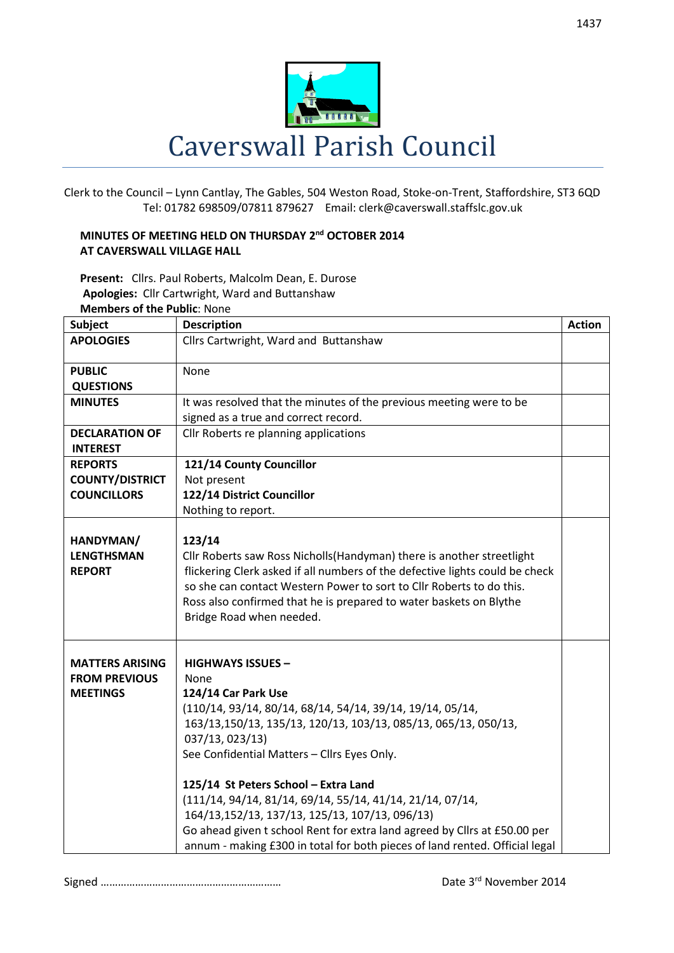

Clerk to the Council – Lynn Cantlay, The Gables, 504 Weston Road, Stoke-on-Trent, Staffordshire, ST3 6QD Tel: 01782 698509/07811 879627 Email: clerk@caverswall.staffslc.gov.uk

## **MINUTES OF MEETING HELD ON THURSDAY 2 nd OCTOBER 2014 AT CAVERSWALL VILLAGE HALL**

**Present:** Cllrs. Paul Roberts, Malcolm Dean, E. Durose **Apologies:** Cllr Cartwright, Ward and Buttanshaw **Members of the Public**: None

| <b>Subject</b>                                                    | <b>Description</b>                                                                                                                                                                                                                                                                                                                                                                                              | <b>Action</b> |
|-------------------------------------------------------------------|-----------------------------------------------------------------------------------------------------------------------------------------------------------------------------------------------------------------------------------------------------------------------------------------------------------------------------------------------------------------------------------------------------------------|---------------|
| <b>APOLOGIES</b>                                                  | Cllrs Cartwright, Ward and Buttanshaw                                                                                                                                                                                                                                                                                                                                                                           |               |
|                                                                   |                                                                                                                                                                                                                                                                                                                                                                                                                 |               |
| <b>PUBLIC</b>                                                     | None                                                                                                                                                                                                                                                                                                                                                                                                            |               |
| <b>QUESTIONS</b>                                                  |                                                                                                                                                                                                                                                                                                                                                                                                                 |               |
| <b>MINUTES</b>                                                    | It was resolved that the minutes of the previous meeting were to be                                                                                                                                                                                                                                                                                                                                             |               |
|                                                                   | signed as a true and correct record.                                                                                                                                                                                                                                                                                                                                                                            |               |
| <b>DECLARATION OF</b>                                             | Cllr Roberts re planning applications                                                                                                                                                                                                                                                                                                                                                                           |               |
| <b>INTEREST</b>                                                   |                                                                                                                                                                                                                                                                                                                                                                                                                 |               |
| <b>REPORTS</b>                                                    | 121/14 County Councillor                                                                                                                                                                                                                                                                                                                                                                                        |               |
| <b>COUNTY/DISTRICT</b>                                            | Not present                                                                                                                                                                                                                                                                                                                                                                                                     |               |
| <b>COUNCILLORS</b>                                                | 122/14 District Councillor                                                                                                                                                                                                                                                                                                                                                                                      |               |
|                                                                   | Nothing to report.                                                                                                                                                                                                                                                                                                                                                                                              |               |
| HANDYMAN/<br><b>LENGTHSMAN</b><br><b>REPORT</b>                   | 123/14<br>Cllr Roberts saw Ross Nicholls (Handyman) there is another streetlight<br>flickering Clerk asked if all numbers of the defective lights could be check<br>so she can contact Western Power to sort to Cllr Roberts to do this.<br>Ross also confirmed that he is prepared to water baskets on Blythe<br>Bridge Road when needed.                                                                      |               |
| <b>MATTERS ARISING</b><br><b>FROM PREVIOUS</b><br><b>MEETINGS</b> | <b>HIGHWAYS ISSUES -</b><br>None<br>124/14 Car Park Use<br>(110/14, 93/14, 80/14, 68/14, 54/14, 39/14, 19/14, 05/14,<br>163/13,150/13, 135/13, 120/13, 103/13, 085/13, 065/13, 050/13,<br>037/13, 023/13)<br>See Confidential Matters - Cllrs Eyes Only.<br>125/14 St Peters School - Extra Land<br>(111/14, 94/14, 81/14, 69/14, 55/14, 41/14, 21/14, 07/14,<br>164/13,152/13, 137/13, 125/13, 107/13, 096/13) |               |
|                                                                   | Go ahead given t school Rent for extra land agreed by Cllrs at £50.00 per<br>annum - making £300 in total for both pieces of land rented. Official legal                                                                                                                                                                                                                                                        |               |

Signed ……………………………………………………… Date 3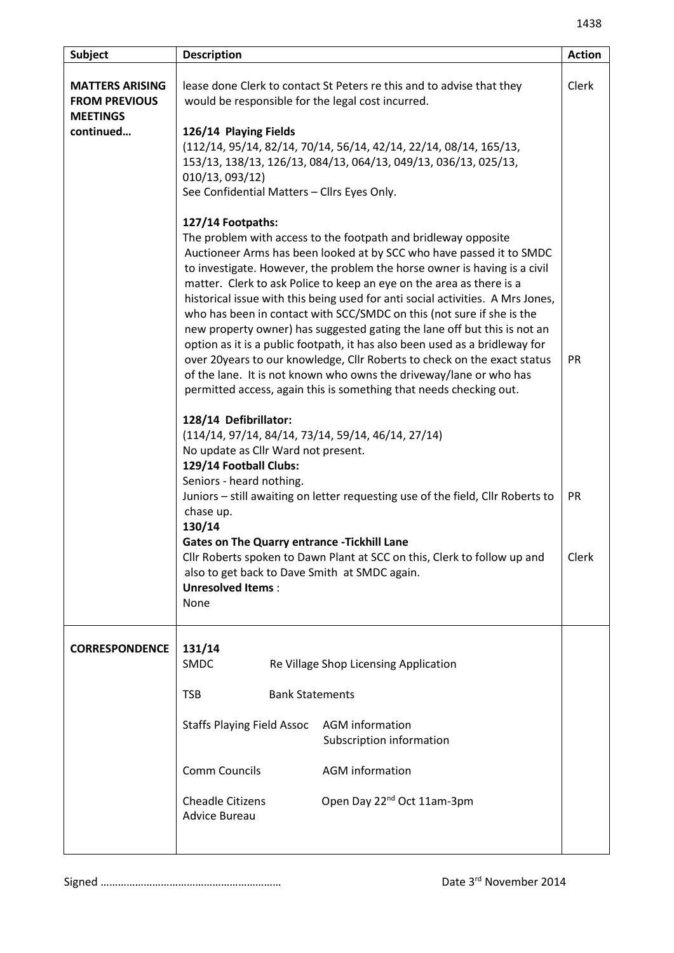| Subject                                                           | <b>Description</b>                                                                                                                                                                                                                                                                                                                                                                                                                                                                                                                 | <b>Action</b> |
|-------------------------------------------------------------------|------------------------------------------------------------------------------------------------------------------------------------------------------------------------------------------------------------------------------------------------------------------------------------------------------------------------------------------------------------------------------------------------------------------------------------------------------------------------------------------------------------------------------------|---------------|
| <b>MATTERS ARISING</b><br><b>FROM PREVIOUS</b><br><b>MEETINGS</b> | lease done Clerk to contact St Peters re this and to advise that they<br>would be responsible for the legal cost incurred.                                                                                                                                                                                                                                                                                                                                                                                                         | Clerk         |
| continued                                                         | 126/14 Playing Fields                                                                                                                                                                                                                                                                                                                                                                                                                                                                                                              |               |
|                                                                   | (112/14, 95/14, 82/14, 70/14, 56/14, 42/14, 22/14, 08/14, 165/13,<br>153/13, 138/13, 126/13, 084/13, 064/13, 049/13, 036/13, 025/13,                                                                                                                                                                                                                                                                                                                                                                                               |               |
|                                                                   | 010/13, 093/12)                                                                                                                                                                                                                                                                                                                                                                                                                                                                                                                    |               |
|                                                                   | See Confidential Matters - Cllrs Eyes Only.                                                                                                                                                                                                                                                                                                                                                                                                                                                                                        |               |
|                                                                   | 127/14 Footpaths:                                                                                                                                                                                                                                                                                                                                                                                                                                                                                                                  |               |
|                                                                   | The problem with access to the footpath and bridleway opposite<br>Auctioneer Arms has been looked at by SCC who have passed it to SMDC<br>to investigate. However, the problem the horse owner is having is a civil<br>matter. Clerk to ask Police to keep an eye on the area as there is a<br>historical issue with this being used for anti social activities. A Mrs Jones,<br>who has been in contact with SCC/SMDC on this (not sure if she is the<br>new property owner) has suggested gating the lane off but this is not an |               |
|                                                                   | option as it is a public footpath, it has also been used as a bridleway for<br>over 20years to our knowledge, Cllr Roberts to check on the exact status<br>of the lane. It is not known who owns the driveway/lane or who has<br>permitted access, again this is something that needs checking out.                                                                                                                                                                                                                                | <b>PR</b>     |
|                                                                   | 128/14 Defibrillator:<br>$(114/14, 97/14, 84/14, 73/14, 59/14, 46/14, 27/14)$<br>No update as Cllr Ward not present.<br>129/14 Football Clubs:                                                                                                                                                                                                                                                                                                                                                                                     |               |
|                                                                   | Seniors - heard nothing.<br>Juniors - still awaiting on letter requesting use of the field, Cllr Roberts to<br>chase up.<br>130/14                                                                                                                                                                                                                                                                                                                                                                                                 | <b>PR</b>     |
|                                                                   | <b>Gates on The Quarry entrance - Tickhill Lane</b><br>Cllr Roberts spoken to Dawn Plant at SCC on this, Clerk to follow up and<br>also to get back to Dave Smith at SMDC again.<br><b>Unresolved Items:</b><br>None                                                                                                                                                                                                                                                                                                               | Clerk         |
| <b>CORRESPONDENCE</b>                                             | 131/14<br><b>SMDC</b><br>Re Village Shop Licensing Application                                                                                                                                                                                                                                                                                                                                                                                                                                                                     |               |
|                                                                   | <b>Bank Statements</b><br><b>TSB</b>                                                                                                                                                                                                                                                                                                                                                                                                                                                                                               |               |
|                                                                   | <b>AGM</b> information<br><b>Staffs Playing Field Assoc</b><br>Subscription information                                                                                                                                                                                                                                                                                                                                                                                                                                            |               |
|                                                                   | <b>Comm Councils</b><br><b>AGM</b> information                                                                                                                                                                                                                                                                                                                                                                                                                                                                                     |               |
|                                                                   | Open Day 22 <sup>nd</sup> Oct 11am-3pm<br><b>Cheadle Citizens</b><br><b>Advice Bureau</b>                                                                                                                                                                                                                                                                                                                                                                                                                                          |               |